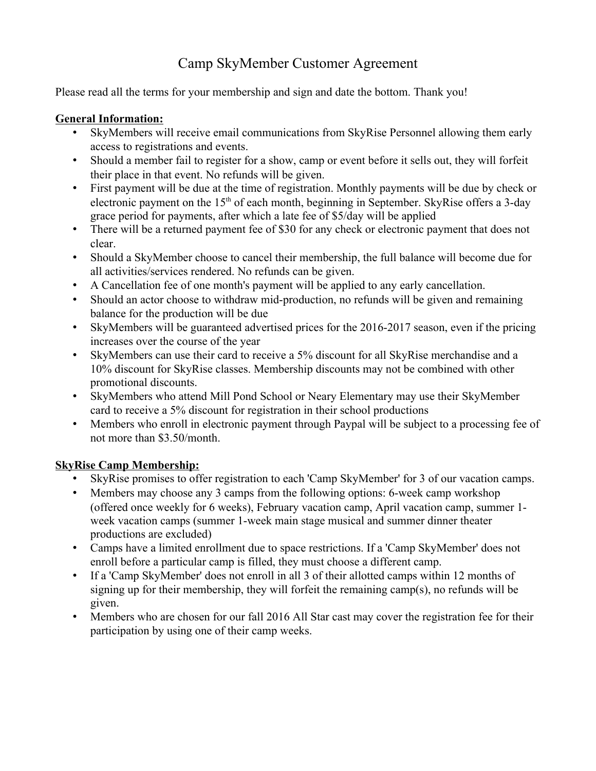## Camp SkyMember Customer Agreement

Please read all the terms for your membership and sign and date the bottom. Thank you!

## **General Information:**

- SkyMembers will receive email communications from SkyRise Personnel allowing them early access to registrations and events.
- Should a member fail to register for a show, camp or event before it sells out, they will forfeit their place in that event. No refunds will be given.
- First payment will be due at the time of registration. Monthly payments will be due by check or electronic payment on the 15<sup>th</sup> of each month, beginning in September. SkyRise offers a 3-day grace period for payments, after which a late fee of \$5/day will be applied
- There will be a returned payment fee of \$30 for any check or electronic payment that does not clear.
- Should a SkyMember choose to cancel their membership, the full balance will become due for all activities/services rendered. No refunds can be given.
- A Cancellation fee of one month's payment will be applied to any early cancellation.
- Should an actor choose to withdraw mid-production, no refunds will be given and remaining balance for the production will be due
- SkyMembers will be guaranteed advertised prices for the 2016-2017 season, even if the pricing increases over the course of the year
- SkyMembers can use their card to receive a 5% discount for all SkyRise merchandise and a 10% discount for SkyRise classes. Membership discounts may not be combined with other promotional discounts.
- SkyMembers who attend Mill Pond School or Neary Elementary may use their SkyMember card to receive a 5% discount for registration in their school productions
- Members who enroll in electronic payment through Paypal will be subject to a processing fee of not more than \$3.50/month.

## **SkyRise Camp Membership:**

- SkyRise promises to offer registration to each 'Camp SkyMember' for 3 of our vacation camps.
- Members may choose any 3 camps from the following options: 6-week camp workshop (offered once weekly for 6 weeks), February vacation camp, April vacation camp, summer 1 week vacation camps (summer 1-week main stage musical and summer dinner theater productions are excluded)
- Camps have a limited enrollment due to space restrictions. If a 'Camp SkyMember' does not enroll before a particular camp is filled, they must choose a different camp.
- If a 'Camp SkyMember' does not enroll in all 3 of their allotted camps within 12 months of signing up for their membership, they will forfeit the remaining camp(s), no refunds will be given.
- Members who are chosen for our fall 2016 All Star cast may cover the registration fee for their participation by using one of their camp weeks.